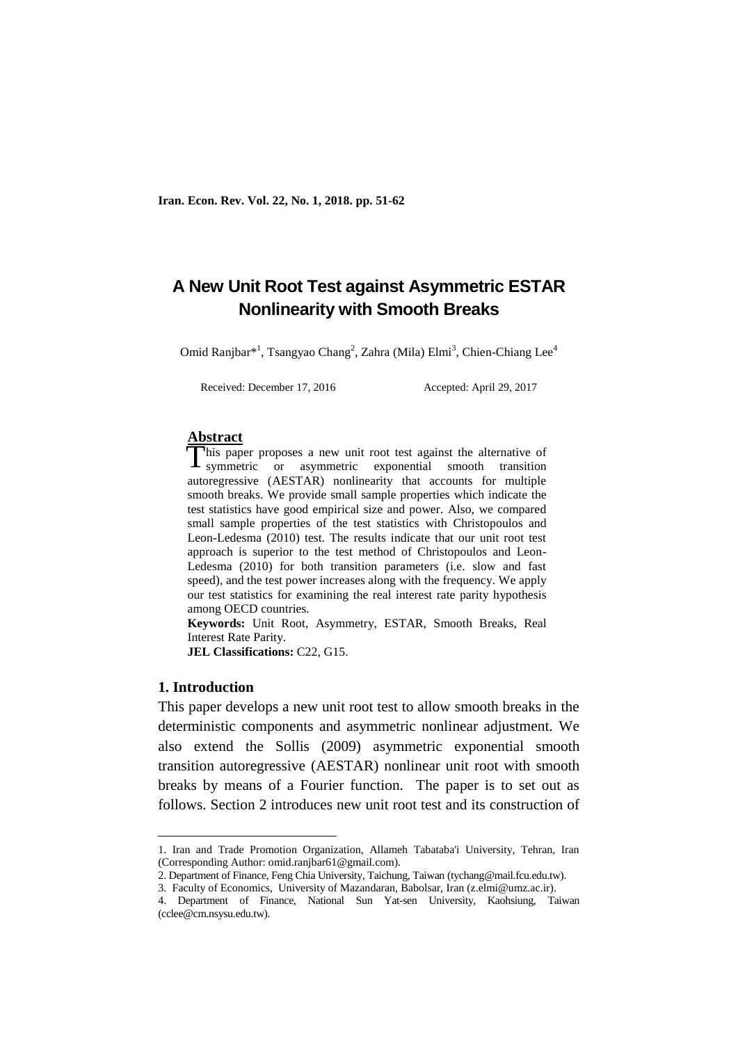# **A New Unit Root Test against Asymmetric ESTAR Nonlinearity with Smooth Breaks**

Omid Ranjbar\*<sup>1</sup>, Tsangyao Chang<sup>2</sup>, Zahra (Mila) Elmi<sup>3</sup>, Chien-Chiang Lee<sup>4</sup>

Received: December 17, 2016 Accepted: April 29, 2017

#### **Abstract**

his paper proposes a new unit root test against the alternative of This paper proposes a new unit root test against the alternative of symmetric or asymmetric exponential smooth transition autoregressive (AESTAR) nonlinearity that accounts for multiple smooth breaks. We provide small sample properties which indicate the test statistics have good empirical size and power. Also, we compared small sample properties of the test statistics with Christopoulos and Leon-Ledesma (2010) test. The results indicate that our unit root test approach is superior to the test method of Christopoulos and Leon-Ledesma (2010) for both transition parameters (i.e. slow and fast speed), and the test power increases along with the frequency. We apply our test statistics for examining the real interest rate parity hypothesis among OECD countries.

**Keywords:** Unit Root, Asymmetry, ESTAR, Smooth Breaks, Real Interest Rate Parity.

**JEL Classifications:** C22, G15.

### **1. Introduction**

1

This paper develops a new unit root test to allow smooth breaks in the deterministic components and asymmetric nonlinear adjustment. We also extend the Sollis (2009) asymmetric exponential smooth transition autoregressive (AESTAR) nonlinear unit root with smooth breaks by means of a Fourier function. The paper is to set out as follows. Section 2 introduces new unit root test and its construction of

<sup>1.</sup> Iran and Trade Promotion Organization, Allameh Tabataba'i University, Tehran, Iran (Corresponding Author: omid.ranjbar61@gmail.com).

<sup>2.</sup> Department of Finance, Feng Chia University, Taichung, Taiwan (tychang@mail.fcu.edu.tw).

<sup>3.</sup> Faculty of Economics, University of Mazandaran, Babolsar, Iran (z.elmi@umz.ac.ir).

<sup>4.</sup> Department of Finance, National Sun Yat-sen University, Kaohsiung, Taiwan (cclee@cm.nsysu.edu.tw).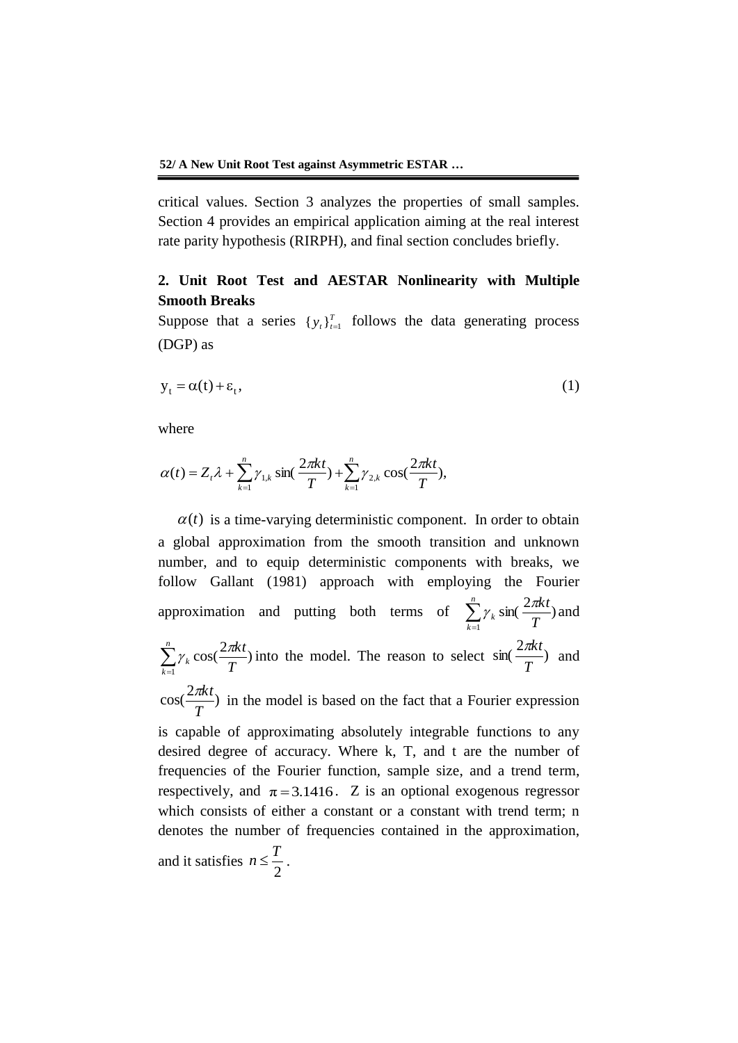critical values. Section 3 analyzes the properties of small samples. Section 4 provides an empirical application aiming at the real interest rate parity hypothesis (RIRPH), and final section concludes briefly.

# **2. Unit Root Test and AESTAR Nonlinearity with Multiple Smooth Breaks**

Suppose that a series  $\{y_t\}_{t=1}^T$  follows the data generating process (DGP) as

$$
y_t = \alpha(t) + \varepsilon_t, \tag{1}
$$

where

where  

$$
\alpha(t) = Z_t \lambda + \sum_{k=1}^n \gamma_{1,k} \sin(\frac{2\pi kt}{T}) + \sum_{k=1}^n \gamma_{2,k} \cos(\frac{2\pi kt}{T}),
$$

 $\alpha(t)$  is a time-varying deterministic component. In order to obtain a global approximation from the smooth transition and unknown number, and to equip deterministic components with breaks, we follow Gallant (1981) approach with employing the Fourier approximation and putting both terms of  $\sum_{k=1}^{n}$ *k k T kt* 1  $\gamma_k$  sin( $\frac{2\pi kt}{\pi}$ ) and  $\sum_{k=1}^n$ *k*  $\int_{k}$ <sup>*L*</sup> $\sigma$ *N*</sup> $\int$ *T kt* 1  $\gamma_k \cos(\frac{2\pi kt}{\pi})$  into the model. The reason to select  $\sin(\frac{2\pi kt}{\pi})$ *T kt* and  $\cos(\frac{2\pi kt}{\pi})$ *T kt* in the model is based on the fact that a Fourier expression is capable of approximating absolutely integrable functions to any desired degree of accuracy. Where k, T, and t are the number of frequencies of the Fourier function, sample size, and a trend term, respectively, and  $\pi = 3.1416$ . Z is an optional exogenous regressor which consists of either a constant or a constant with trend term; n denotes the number of frequencies contained in the approximation, and it satisfies 2  $n \leq \frac{T}{2}$ .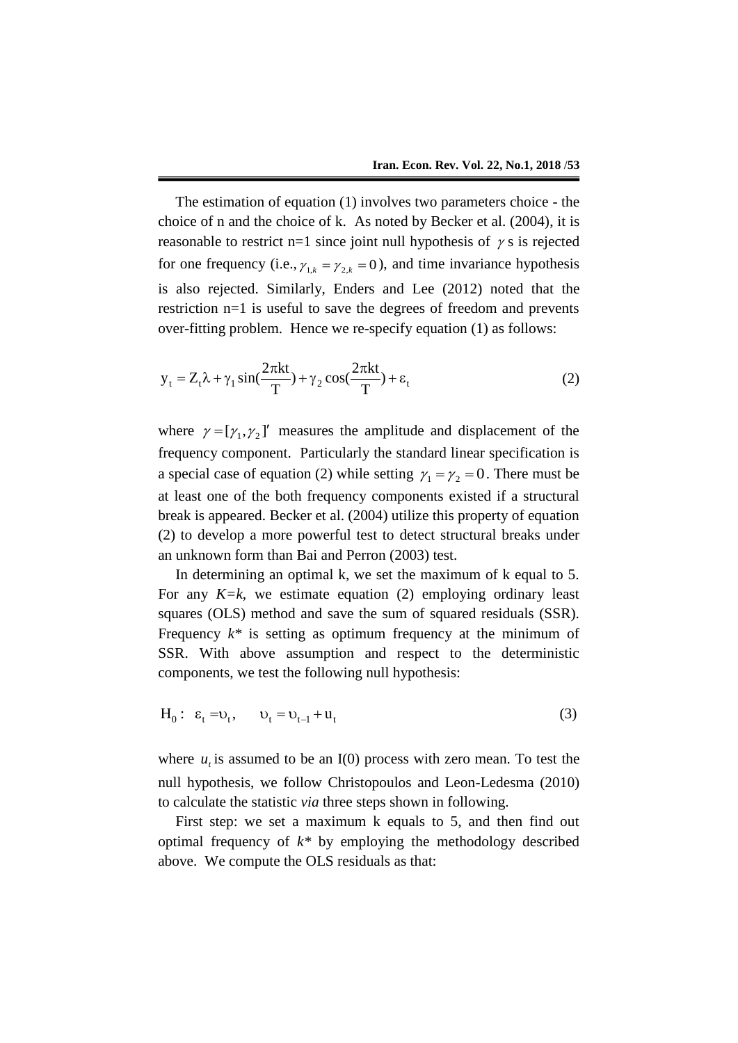The estimation of equation (1) involves two parameters choice - the choice of n and the choice of k. As noted by Becker et al. (2004), it is reasonable to restrict  $n=1$  since joint null hypothesis of  $\gamma$  s is rejected for one frequency (i.e.,  $\gamma_{1,k} = \gamma_{2,k} = 0$ ), and time invariance hypothesis is also rejected. Similarly, Enders and Lee (2012) noted that the restriction n=1 is useful to save the degrees of freedom and prevents over-fitting problem. Hence we re-specify equation (1) as follows:

$$
y_t = Z_t \lambda + \gamma_1 \sin(\frac{2\pi kt}{T}) + \gamma_2 \cos(\frac{2\pi kt}{T}) + \varepsilon_t
$$
 (2)

where  $\gamma = [\gamma_1, \gamma_2]'$  measures the amplitude and displacement of the frequency component. Particularly the standard linear specification is a special case of equation (2) while setting  $\gamma_1 = \gamma_2 = 0$ . There must be at least one of the both frequency components existed if a structural break is appeared. Becker et al. (2004) utilize this property of equation (2) to develop a more powerful test to detect structural breaks under an unknown form than Bai and Perron (2003) test.

In determining an optimal k, we set the maximum of k equal to 5. For any *K=k*, we estimate equation (2) employing ordinary least squares (OLS) method and save the sum of squared residuals (SSR). Frequency  $k^*$  is setting as optimum frequency at the minimum of SSR. With above assumption and respect to the deterministic components, we test the following null hypothesis:

 $H_0: \varepsilon_t = v_t, \quad v_t = v_{t-1} + u_t$ (3)

where  $u_i$  is assumed to be an I(0) process with zero mean. To test the null hypothesis, we follow Christopoulos and Leon-Ledesma (2010) to calculate the statistic *via* three steps shown in following.

First step: we set a maximum k equals to 5, and then find out optimal frequency of *k\** by employing the methodology described above. We compute the OLS residuals as that: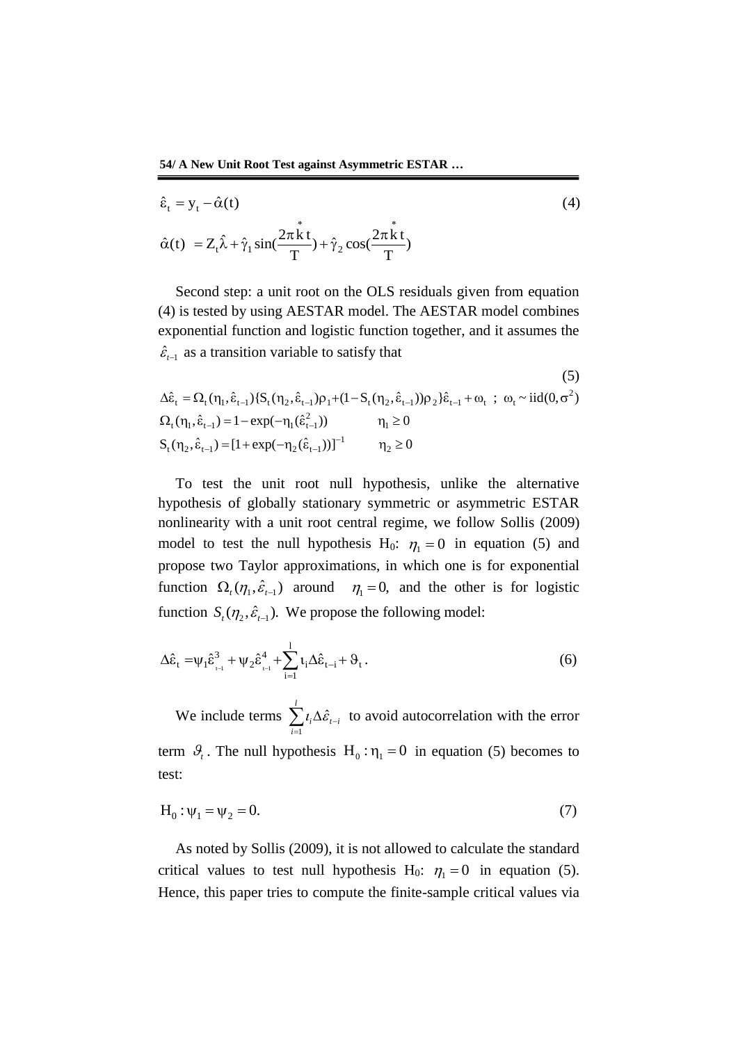54/A New Unit Root Test against Asymmetric ESTAR ...  
\n
$$
\hat{\epsilon}_t = y_t - \hat{\alpha}(t)
$$
\n(4)  
\n
$$
\hat{\alpha}(t) = Z_t \hat{\lambda} + \hat{\gamma}_1 \sin(\frac{2\pi \hat{k} t}{T}) + \hat{\gamma}_2 \cos(\frac{2\pi \hat{k} t}{T})
$$

Second step: a unit root on the OLS residuals given from equation (4) is tested by using AESTAR model. The AESTAR model combines exponential function and logistic function together, and it assumes the

$$
\hat{\varepsilon}_{t-1} \text{ as a transition variable to satisfy that}
$$
\n
$$
\Delta \hat{\varepsilon}_t = \Omega_t(\eta_1, \hat{\varepsilon}_{t-1}) \{ S_t(\eta_2, \hat{\varepsilon}_{t-1}) \rho_1 + (1 - S_t(\eta_2, \hat{\varepsilon}_{t-1})) \rho_2 \} \hat{\varepsilon}_{t-1} + \omega_t \; ; \; \omega_t \sim \text{iid}(0, \sigma^2)
$$
\n
$$
\Omega_t(\eta_1, \hat{\varepsilon}_{t-1}) = 1 - \exp(-\eta_1(\hat{\varepsilon}_{t-1}^2)) \qquad \eta_1 \ge 0
$$
\n
$$
S_t(\eta_2, \hat{\varepsilon}_{t-1}) = [1 + \exp(-\eta_2(\hat{\varepsilon}_{t-1}))]^{-1} \qquad \eta_2 \ge 0
$$
\n(11)

To test the unit root null hypothesis, unlike the alternative hypothesis of globally stationary symmetric or asymmetric ESTAR nonlinearity with a unit root central regime, we follow Sollis (2009) model to test the null hypothesis H<sub>0</sub>:  $\eta_1 = 0$  in equation (5) and propose two Taylor approximations, in which one is for exponential function  $\Omega_t(\eta_1, \hat{\varepsilon}_{t-1})$  around  $\eta_1 = 0$ , and the other is for logistic function  $S_t(\eta_2, \hat{\varepsilon}_{t-1})$ . We propose the following model:

$$
\Delta \hat{\epsilon}_{t} = \psi_{1} \hat{\epsilon}_{t}^{3} + \psi_{2} \hat{\epsilon}_{t}^{4} + \sum_{i=1}^{l} t_{i} \Delta \hat{\epsilon}_{t-i} + \vartheta_{t}.
$$
\n(6)

We include terms  $\sum_{i=1}^{l} i_i \Delta \hat{\varepsilon}_{t-1}$ *i*  $i^{\Delta U}$ <sub> $t-i$ </sub> 1  $i_i \Delta \hat{\mathcal{E}}_{t-i}$  to avoid autocorrelation with the error term  $\mathcal{G}_i$ . The null hypothesis H<sub>0</sub>:  $\eta_1 = 0$  in equation (5) becomes to test:

$$
H_0: \psi_1 = \psi_2 = 0. \tag{7}
$$

As noted by Sollis (2009), it is not allowed to calculate the standard critical values to test null hypothesis H<sub>0</sub>:  $\eta_1 = 0$  in equation (5). Hence, this paper tries to compute the finite-sample critical values via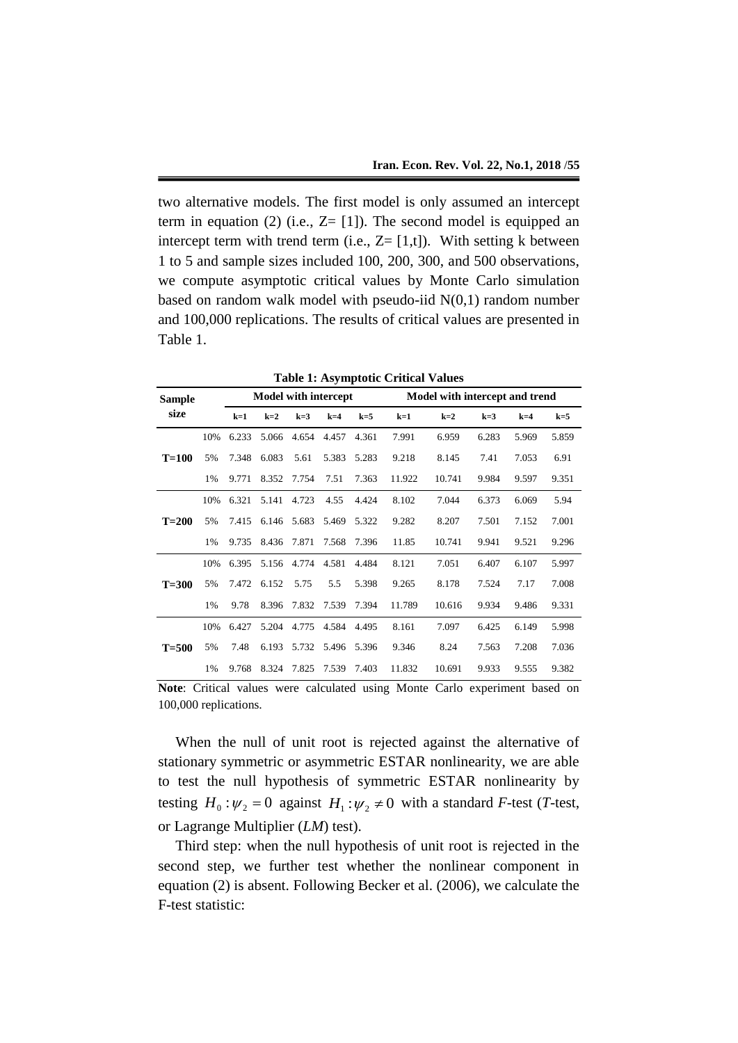two alternative models. The first model is only assumed an intercept term in equation (2) (i.e.,  $Z = [1]$ ). The second model is equipped an intercept term with trend term (i.e.,  $Z = [1,t]$ ). With setting k between 1 to 5 and sample sizes included 100, 200, 300, and 500 observations, we compute asymptotic critical values by Monte Carlo simulation based on random walk model with pseudo-iid  $N(0,1)$  random number and 100,000 replications. The results of critical values are presented in Table 1.

| <b>Table 1: Asymptotic Critical Values</b> |  |  |
|--------------------------------------------|--|--|
|--------------------------------------------|--|--|

| <b>Sample</b> |     |       | <b>Model with intercept</b> |       |       |       | Model with intercept and trend |        |       |       |       |  |  |
|---------------|-----|-------|-----------------------------|-------|-------|-------|--------------------------------|--------|-------|-------|-------|--|--|
| size          |     | $k=1$ | $k=2$                       | $k=3$ | $k=4$ | $k=5$ | $k=1$                          | $k=2$  | $k=3$ | $k=4$ | $k=5$ |  |  |
|               | 10% | 6.233 | 5.066                       | 4.654 | 4.457 | 4.361 | 7.991                          | 6.959  | 6.283 | 5.969 | 5.859 |  |  |
| $T=100$       | 5%  | 7.348 | 6.083                       | 5.61  | 5.383 | 5.283 | 9.218                          | 8.145  | 7.41  | 7.053 | 6.91  |  |  |
|               | 1%  | 9.771 | 8.352                       | 7.754 | 7.51  | 7.363 | 11.922                         | 10.741 | 9.984 | 9.597 | 9.351 |  |  |
|               | 10% | 6.321 | 5.141                       | 4.723 | 4.55  | 4.424 | 8.102                          | 7.044  | 6.373 | 6.069 | 5.94  |  |  |
| $T=200$       | 5%  | 7.415 | 6.146                       | 5.683 | 5.469 | 5.322 | 9.282                          | 8.207  | 7.501 | 7.152 | 7.001 |  |  |
|               | 1%  | 9.735 | 8.436                       | 7.871 | 7.568 | 7.396 | 11.85                          | 10.741 | 9.941 | 9.521 | 9.296 |  |  |
|               | 10% | 6.395 | 5.156                       | 4.774 | 4.581 | 4.484 | 8.121                          | 7.051  | 6.407 | 6.107 | 5.997 |  |  |
| $T=300$       | 5%  | 7.472 | 6.152                       | 5.75  | 5.5   | 5.398 | 9.265                          | 8.178  | 7.524 | 7.17  | 7.008 |  |  |
|               | 1%  | 9.78  | 8.396                       | 7.832 | 7.539 | 7.394 | 11.789                         | 10.616 | 9.934 | 9.486 | 9.331 |  |  |
|               | 10% | 6.427 | 5.204                       | 4.775 | 4.584 | 4.495 | 8.161                          | 7.097  | 6.425 | 6.149 | 5.998 |  |  |
| $T = 500$     | 5%  | 7.48  | 6.193                       | 5.732 | 5.496 | 5.396 | 9.346                          | 8.24   | 7.563 | 7.208 | 7.036 |  |  |
|               | 1%  | 9.768 | 8.324                       | 7.825 | 7.539 | 7.403 | 11.832                         | 10.691 | 9.933 | 9.555 | 9.382 |  |  |

**Note**: Critical values were calculated using Monte Carlo experiment based on 100,000 replications.

When the null of unit root is rejected against the alternative of stationary symmetric or asymmetric ESTAR nonlinearity, we are able to test the null hypothesis of symmetric ESTAR nonlinearity by testing  $H_0: \psi_2 = 0$  against  $H_1: \psi_2 \neq 0$  with a standard *F*-test (*T*-test, or Lagrange Multiplier (*LM*) test).

Third step: when the null hypothesis of unit root is rejected in the second step, we further test whether the nonlinear component in equation (2) is absent. Following Becker et al. (2006), we calculate the F-test statistic: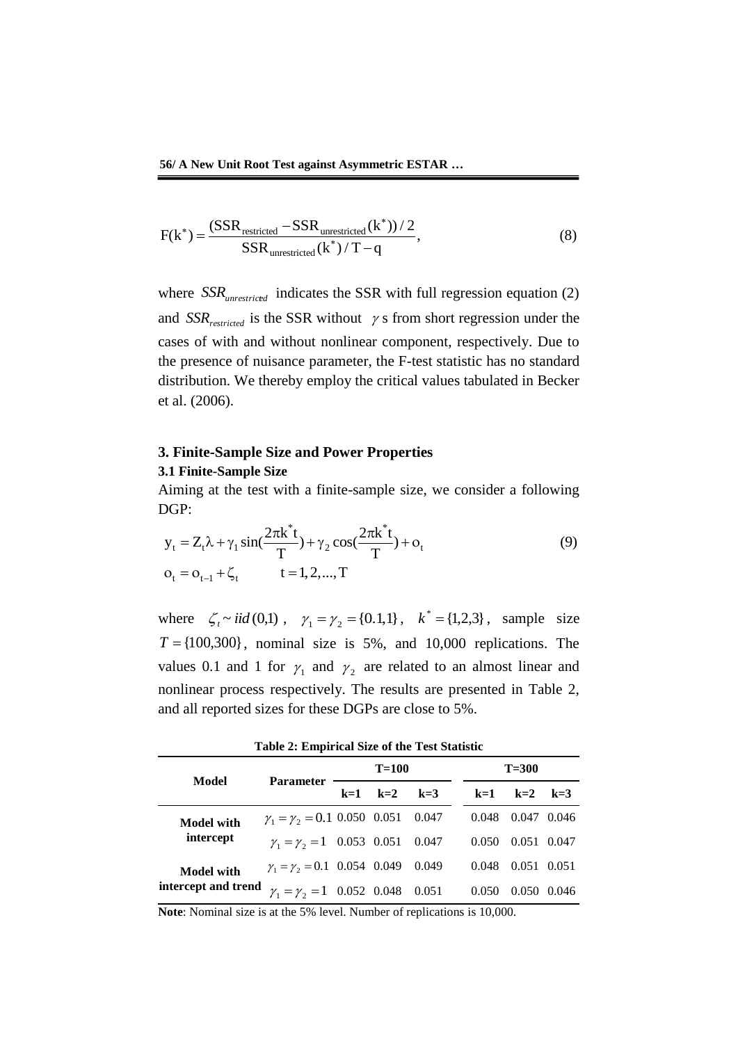$$
F(k^*) = \frac{(SSR_{restricted} - SSR_{unrestricted}(k^*))/2}{SSR_{unrestricted}(k^*)/T - q},
$$
\n(8)

where  $SSR_{unrestricted}$  indicates the SSR with full regression equation (2) and  $SSR_{restricted}$  is the SSR without  $\gamma$  s from short regression under the cases of with and without nonlinear component, respectively. Due to the presence of nuisance parameter, the F-test statistic has no standard distribution. We thereby employ the critical values tabulated in Becker et al. (2006).

## **3. Finite-Sample Size and Power Properties 3.1 Finite-Sample Size**

DGP: \*  $\int_{0}^{\frac{\pi}{2}} t \frac{2\pi k^*}{\pi}$ 

Aiming at the test with a finite-sample size, we consider a following  
DGP:  
\n
$$
y_t = Z_t \lambda + \gamma_1 \sin(\frac{2\pi k^* t}{T}) + \gamma_2 \cos(\frac{2\pi k^* t}{T}) + o_t
$$
\n
$$
o_t = o_{t-1} + \zeta_t \qquad t = 1, 2, ..., T
$$
\n(9)

where  $\zeta_i \sim \text{iid}(0,1)$ ,  $\gamma_1 = \gamma_2 = \{0.1,1\}$ ,  $k^* = \{1,2,3\}$ , sample size  $T = \{100,300\}$ , nominal size is 5%, and 10,000 replications. The values 0.1 and 1 for  $\gamma_1$  and  $\gamma_2$  are related to an almost linear and nonlinear process respectively. The results are presented in Table 2, and all reported sizes for these DGPs are close to 5%.

**Table 2: Empirical Size of the Test Statistic**

|                     | <b>Parameter</b>                                    |       | $T=100$ |       | $T=300$ |       |             |       |  |
|---------------------|-----------------------------------------------------|-------|---------|-------|---------|-------|-------------|-------|--|
| Model               |                                                     | $k=1$ | $k=2$   | $k=3$ |         | $k=1$ | $k=2$ $k=3$ |       |  |
| <b>Model with</b>   | $\gamma_1 = \gamma_2 = 0.1 \ 0.050 \ 0.051 \ 0.047$ |       |         |       |         | 0.048 | 0.047 0.046 |       |  |
| intercept           | $\gamma_1 = \gamma_2 = 1$ 0.053 0.051 0.047         |       |         |       |         | 0.050 | 0.051 0.047 |       |  |
| <b>Model with</b>   | $\gamma_1 = \gamma_2 = 0.1$ 0.054 0.049 0.049       |       |         |       |         | 0.048 | 0.051 0.051 |       |  |
| intercept and trend | $\gamma_1 = \gamma_2 = 1$ 0.052 0.048 0.051         |       |         |       |         | 0.050 | 0.050       | 0.046 |  |

**Note**: Nominal size is at the 5% level. Number of replications is 10,000.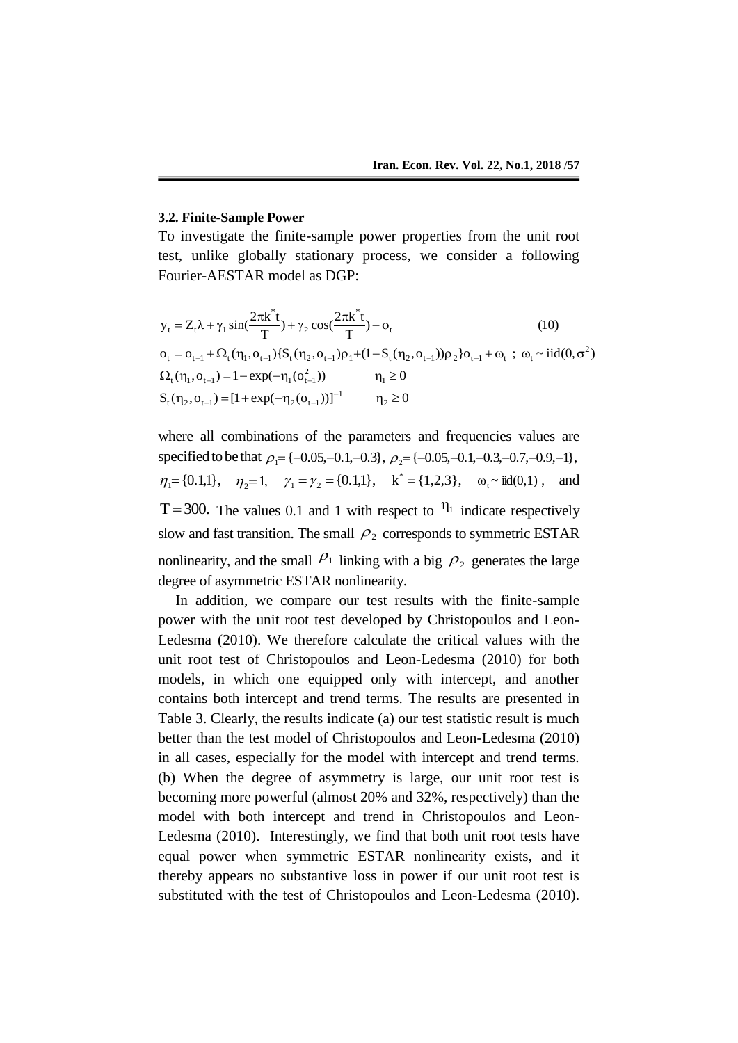#### **3.2. Finite-Sample Power**

To investigate the finite-sample power properties from the unit root test, unlike globally stationary process, we consider a following

Fourier-AESTAR model as DGP:  
\n
$$
y_{t} = Z_{t}\lambda + \gamma_{1} \sin(\frac{2\pi k^{*}t}{T}) + \gamma_{2} \cos(\frac{2\pi k^{*}t}{T}) + o_{t}
$$
\n
$$
o_{t} = o_{t-1} + \Omega_{t}(\eta_{1}, o_{t-1}) \{S_{t}(\eta_{2}, o_{t-1})\rho_{1} + (1 - S_{t}(\eta_{2}, o_{t-1}))\rho_{2}\}o_{t-1} + o_{t}; \omega_{t} \sim \text{id}(0, \sigma^{2})
$$
\n
$$
\Omega_{t}(\eta_{1}, o_{t-1}) = 1 - \exp(-\eta_{1}(o_{t-1}^{2})) \qquad \eta_{1} \ge 0
$$
\n
$$
S_{t}(\eta_{2}, o_{t-1}) = [1 + \exp(-\eta_{2}(o_{t-1}))]^{-1} \qquad \eta_{2} \ge 0
$$

where all combinations of the parameters and frequencies values are specified to be that  $\rho_1 = \{-0.05, -0.1, -0.3\}, \rho_2 = \{-0.05, -0.1, -0.3, -0.7, -0.9, -1\},\$  $\eta_1 = \{0.1, 1\}, \quad \eta_2 = 1, \quad \gamma_1 = \gamma_2 = \{0.1, 1\}, \quad k^* = \{1, 2, 3\}, \quad \omega_t \sim \text{iid}(0, 1)$ , and T = 300. The values 0.1 and 1 with respect to  $\eta_1$  indicate respectively slow and fast transition. The small  $\rho_2$  corresponds to symmetric ESTAR nonlinearity, and the small  $P_1$  linking with a big  $P_2$  generates the large degree of asymmetric ESTAR nonlinearity.

In addition, we compare our test results with the finite-sample power with the unit root test developed by Christopoulos and Leon-Ledesma (2010). We therefore calculate the critical values with the unit root test of Christopoulos and Leon-Ledesma (2010) for both models, in which one equipped only with intercept, and another contains both intercept and trend terms. The results are presented in Table 3. Clearly, the results indicate (a) our test statistic result is much better than the test model of Christopoulos and Leon-Ledesma (2010) in all cases, especially for the model with intercept and trend terms. (b) When the degree of asymmetry is large, our unit root test is becoming more powerful (almost 20% and 32%, respectively) than the model with both intercept and trend in Christopoulos and Leon-Ledesma (2010). Interestingly, we find that both unit root tests have equal power when symmetric ESTAR nonlinearity exists, and it thereby appears no substantive loss in power if our unit root test is substituted with the test of Christopoulos and Leon-Ledesma (2010).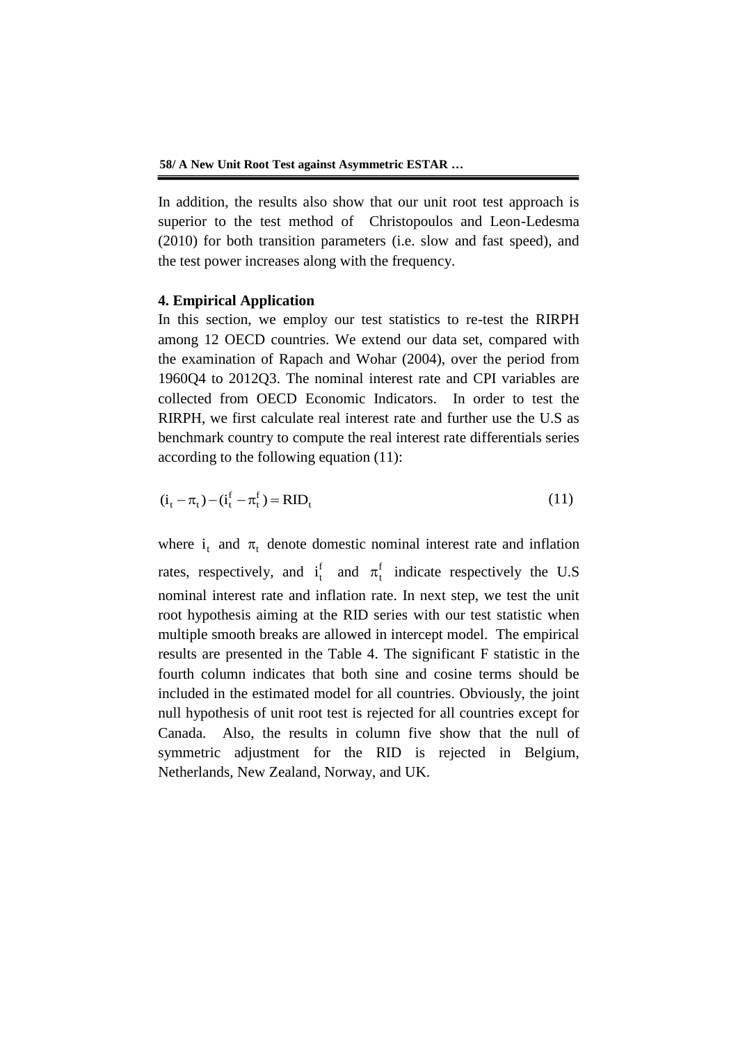In addition, the results also show that our unit root test approach is superior to the test method of Christopoulos and Leon-Ledesma (2010) for both transition parameters (i.e. slow and fast speed), and the test power increases along with the frequency.

### **4. Empirical Application**

In this section, we employ our test statistics to re-test the RIRPH among 12 OECD countries. We extend our data set, compared with the examination of Rapach and Wohar (2004), over the period from 1960Q4 to 2012Q3. The nominal interest rate and CPI variables are collected from OECD Economic Indicators. In order to test the RIRPH, we first calculate real interest rate and further use the U.S as benchmark country to compute the real interest rate differentials series according to the following equation (11):

$$
(\mathbf{i}_{t} - \pi_{t}) - (\mathbf{i}_{t}^{f} - \pi_{t}^{f}) = \text{RID}_{t}
$$
\n(11)

where  $i_t$  and  $\pi_t$  denote domestic nominal interest rate and inflation rates, respectively, and  $i_t^f$  $i_t^f$  and  $\pi_t^f$  indicate respectively the U.S nominal interest rate and inflation rate. In next step, we test the unit root hypothesis aiming at the RID series with our test statistic when multiple smooth breaks are allowed in intercept model. The empirical results are presented in the Table 4. The significant F statistic in the fourth column indicates that both sine and cosine terms should be included in the estimated model for all countries. Obviously, the joint null hypothesis of unit root test is rejected for all countries except for Canada. Also, the results in column five show that the null of symmetric adjustment for the RID is rejected in Belgium, Netherlands, New Zealand, Norway, and UK.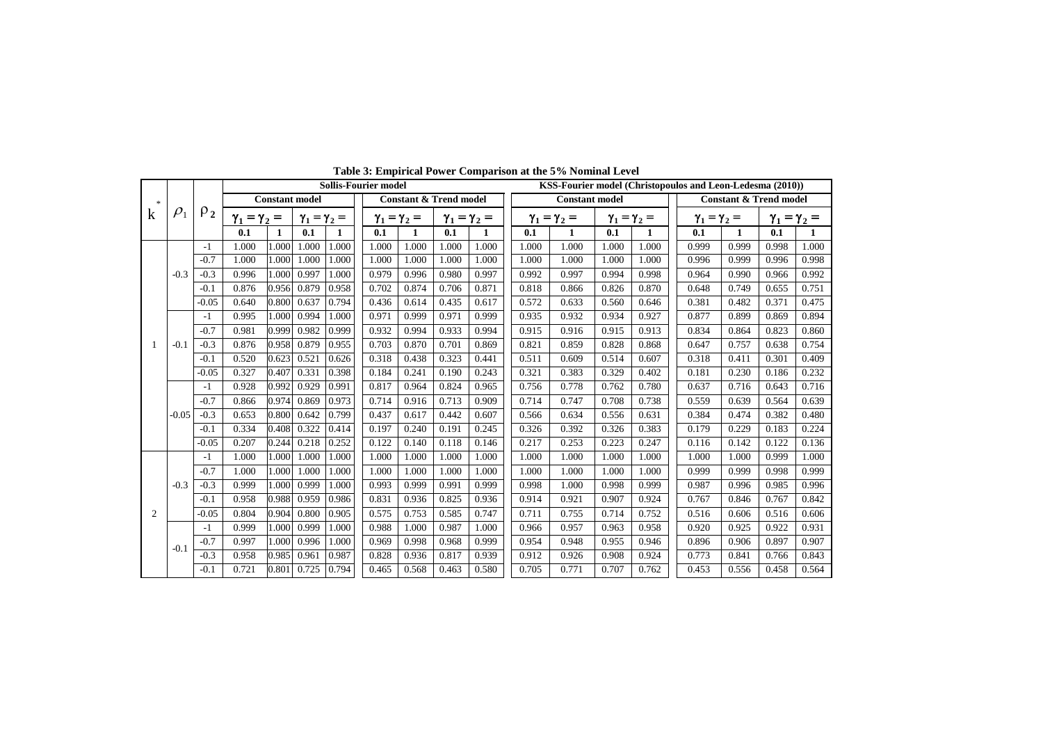|               |            |          |                       |       |                         |       | <b>Sollis-Fourier model</b>       |                         |       |                         |                       |                         |       |                         | KSS-Fourier model (Christopoulos and Leon-Ledesma (2010)) |       |       |                         |
|---------------|------------|----------|-----------------------|-------|-------------------------|-------|-----------------------------------|-------------------------|-------|-------------------------|-----------------------|-------------------------|-------|-------------------------|-----------------------------------------------------------|-------|-------|-------------------------|
| $\mathcal{R}$ |            |          | <b>Constant model</b> |       |                         |       | <b>Constant &amp; Trend model</b> |                         |       |                         | <b>Constant model</b> |                         |       |                         | <b>Constant &amp; Trend model</b>                         |       |       |                         |
| $\mathbf k$   | $\rho_{1}$ | $\rho_2$ | $\gamma_1 = \gamma_2$ | $=$   | $\gamma_1 = \gamma_2 =$ |       |                                   | $\gamma_1 = \gamma_2 =$ |       | $\gamma_1 = \gamma_2 =$ |                       | $\gamma_1 = \gamma_2 =$ |       | $\gamma_1 = \gamma_2 =$ | $\gamma_1 = \gamma_2 =$                                   |       |       | $\gamma_1 = \gamma_2 =$ |
|               |            |          | 0.1                   | 1     | 0.1                     | 1     | 0.1                               | 1                       | 0.1   | 1                       | 0.1                   | 1                       | 0.1   | 1                       | 0.1                                                       | 1     | 0.1   | 1                       |
|               |            | $-1$     | 1.000                 | 1.000 | 1.000                   | 1.000 | 1.000                             | 1.000                   | 1.000 | 1.000                   | 1.000                 | 1.000                   | 1.000 | 1.000                   | 0.999                                                     | 0.999 | 0.998 | 1.000                   |
|               |            | $-0.7$   | 1.000                 | 1.000 | 1.000                   | 1.000 | 1.000                             | 1.000                   | 1.000 | 1.000                   | 1.000                 | 1.000                   | 1.000 | 1.000                   | 0.996                                                     | 0.999 | 0.996 | 0.998                   |
|               | $-0.3$     | $-0.3$   | 0.996                 | 1.000 | 0.997                   | 1.000 | 0.979                             | 0.996                   | 0.980 | 0.997                   | 0.992                 | 0.997                   | 0.994 | 0.998                   | 0.964                                                     | 0.990 | 0.966 | 0.992                   |
|               |            | $-0.1$   | 0.876                 | 0.956 | 0.879                   | 0.958 | 0.702                             | 0.874                   | 0.706 | 0.871                   | 0.818                 | 0.866                   | 0.826 | 0.870                   | 0.648                                                     | 0.749 | 0.655 | 0.751                   |
|               |            | $-0.05$  | 0.640                 | 0.800 | 0.637                   | 0.794 | 0.436                             | 0.614                   | 0.435 | 0.617                   | 0.572                 | 0.633                   | 0.560 | 0.646                   | 0.381                                                     | 0.482 | 0.371 | 0.475                   |
|               |            | $-1$     | 0.995                 | 1.000 | 0.994                   | 1.000 | 0.971                             | 0.999                   | 0.971 | 0.999                   | 0.935                 | 0.932                   | 0.934 | 0.927                   | 0.877                                                     | 0.899 | 0.869 | 0.894                   |
|               |            | $-0.7$   | 0.981                 | 0.999 | 0.982                   | 0.999 | 0.932                             | 0.994                   | 0.933 | 0.994                   | 0.915                 | 0.916                   | 0.915 | 0.913                   | 0.834                                                     | 0.864 | 0.823 | 0.860                   |
|               | $-0.1$     | $-0.3$   | 0.876                 | 0.958 | 0.879                   | 0.955 | 0.703                             | 0.870                   | 0.701 | 0.869                   | 0.821                 | 0.859                   | 0.828 | 0.868                   | 0.647                                                     | 0.757 | 0.638 | 0.754                   |
|               |            | $-0.1$   | 0.520                 | 0.623 | 0.521                   | 0.626 | 0.318                             | 0.438                   | 0.323 | 0.441                   | 0.511                 | 0.609                   | 0.514 | 0.607                   | 0.318                                                     | 0.411 | 0.301 | 0.409                   |
|               |            | $-0.05$  | 0.327                 | 0.407 | 0.331                   | 0.398 | 0.184                             | 0.241                   | 0.190 | 0.243                   | 0.321                 | 0.383                   | 0.329 | 0.402                   | 0.181                                                     | 0.230 | 0.186 | 0.232                   |
|               |            | $-1$     | 0.928                 | 0.992 | 0.929                   | 0.991 | 0.817                             | 0.964                   | 0.824 | 0.965                   | 0.756                 | 0.778                   | 0.762 | 0.780                   | 0.637                                                     | 0.716 | 0.643 | 0.716                   |
|               |            | $-0.7$   | 0.866                 | 0.974 | 0.869                   | 0.973 | 0.714                             | 0.916                   | 0.713 | 0.909                   | 0.714                 | 0.747                   | 0.708 | 0.738                   | 0.559                                                     | 0.639 | 0.564 | 0.639                   |
|               | $-0.05$    | $-0.3$   | 0.653                 | 0.800 | 0.642                   | 0.799 | 0.437                             | 0.617                   | 0.442 | 0.607                   | 0.566                 | 0.634                   | 0.556 | 0.631                   | 0.384                                                     | 0.474 | 0.382 | 0.480                   |
|               |            | $-0.1$   | 0.334                 | 0.408 | 0.322                   | 0.414 | 0.197                             | 0.240                   | 0.191 | 0.245                   | 0.326                 | 0.392                   | 0.326 | 0.383                   | 0.179                                                     | 0.229 | 0.183 | 0.224                   |
|               |            | $-0.05$  | 0.207                 | 0.244 | 0.218                   | 0.252 | 0.122                             | 0.140                   | 0.118 | 0.146                   | 0.217                 | 0.253                   | 0.223 | 0.247                   | 0.116                                                     | 0.142 | 0.122 | 0.136                   |
|               |            | $-1$     | 1.000                 | 1.000 | 1.000                   | 1.000 | 1.000                             | 1.000                   | 1.000 | 1.000                   | 1.000                 | 1.000                   | 1.000 | 1.000                   | 1.000                                                     | 1.000 | 0.999 | 1.000                   |
|               |            | $-0.7$   | 1.000                 | 1.000 | 1.000                   | 1.000 | 1.000                             | 1.000                   | 1.000 | 1.000                   | 1.000                 | 1.000                   | 1.000 | 1.000                   | 0.999                                                     | 0.999 | 0.998 | 0.999                   |
|               | $-0.3$     | $-0.3$   | 0.999                 | 1.000 | 0.999                   | 1.000 | 0.993                             | 0.999                   | 0.991 | 0.999                   | 0.998                 | 1.000                   | 0.998 | 0.999                   | 0.987                                                     | 0.996 | 0.985 | 0.996                   |
|               |            | $-0.1$   | 0.958                 | 0.988 | 0.959                   | 0.986 | 0.831                             | 0.936                   | 0.825 | 0.936                   | 0.914                 | 0.921                   | 0.907 | 0.924                   | 0.767                                                     | 0.846 | 0.767 | 0.842                   |
| 2             |            | $-0.05$  | 0.804                 | 0.904 | 0.800                   | 0.905 | 0.575                             | 0.753                   | 0.585 | 0.747                   | 0.711                 | 0.755                   | 0.714 | 0.752                   | 0.516                                                     | 0.606 | 0.516 | 0.606                   |
|               |            | $-1$     | 0.999                 | 1.000 | 0.999                   | 1.000 | 0.988                             | 1.000                   | 0.987 | 1.000                   | 0.966                 | 0.957                   | 0.963 | 0.958                   | 0.920                                                     | 0.925 | 0.922 | 0.931                   |
|               | $-0.1$     | $-0.7$   | 0.997                 | 1.000 | 0.996                   | 1.000 | 0.969                             | 0.998                   | 0.968 | 0.999                   | 0.954                 | 0.948                   | 0.955 | 0.946                   | 0.896                                                     | 0.906 | 0.897 | 0.907                   |
|               |            | $-0.3$   | 0.958                 | 0.985 | 0.961                   | 0.987 | 0.828                             | 0.936                   | 0.817 | 0.939                   | 0.912                 | 0.926                   | 0.908 | 0.924                   | 0.773                                                     | 0.841 | 0.766 | 0.843                   |
|               |            | $-0.1$   | 0.721                 | 0.801 | 0.725                   | 0.794 | 0.465                             | 0.568                   | 0.463 | 0.580                   | 0.705                 | 0.771                   | 0.707 | 0.762                   | 0.453                                                     | 0.556 | 0.458 | 0.564                   |

**Table 3: Empirical Power Comparison at the 5% Nominal Level**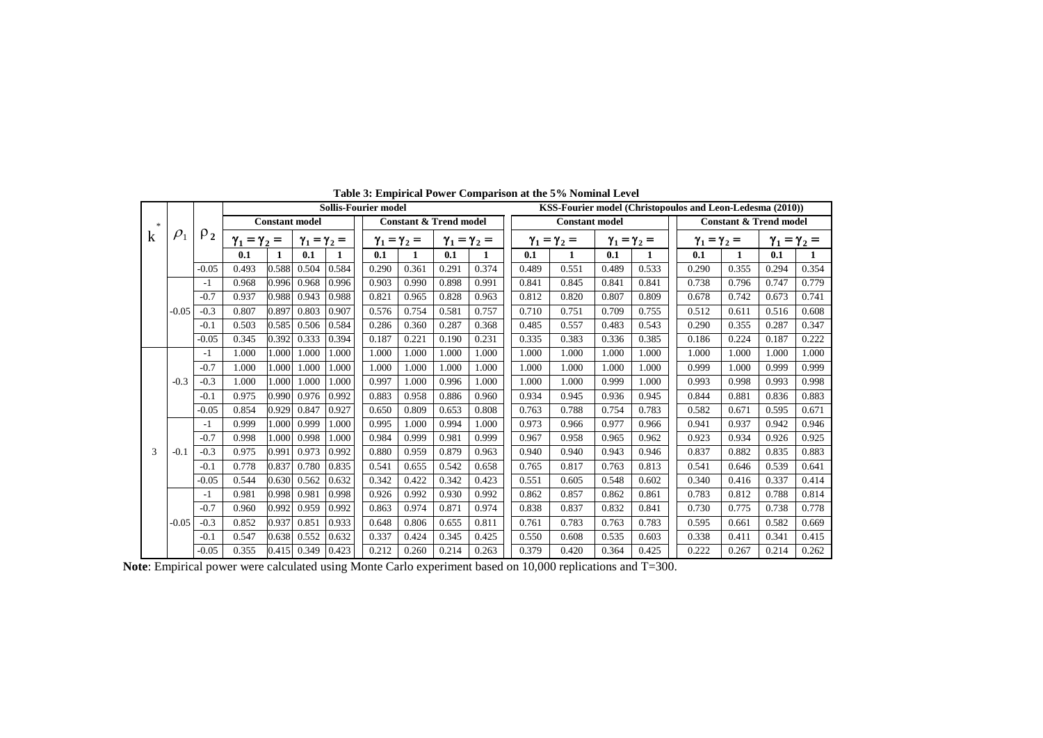|             |                        |         |                         | <b>Sollis-Fourier model</b> |                         |              |       |                                   |       |                         |       |                         | KSS-Fourier model (Christopoulos and Leon-Ledesma (2010)) |                         |                         |                                   |                         |       |  |
|-------------|------------------------|---------|-------------------------|-----------------------------|-------------------------|--------------|-------|-----------------------------------|-------|-------------------------|-------|-------------------------|-----------------------------------------------------------|-------------------------|-------------------------|-----------------------------------|-------------------------|-------|--|
| -26         | $\rho_2$<br>$\rho_{1}$ |         | <b>Constant model</b>   |                             |                         |              |       | <b>Constant &amp; Trend model</b> |       |                         |       | <b>Constant model</b>   |                                                           |                         |                         | <b>Constant &amp; Trend model</b> |                         |       |  |
| $\mathbf k$ |                        |         | $\gamma_1 = \gamma_2 =$ |                             | $\gamma_1 = \gamma_2 =$ |              |       | $\gamma_1 = \gamma_2 =$           |       | $\gamma_1 = \gamma_2 =$ |       | $\gamma_1 = \gamma_2 =$ |                                                           | $\gamma_1 = \gamma_2 =$ | $\gamma_1 = \gamma_2 =$ |                                   | $\gamma_1 = \gamma_2 =$ |       |  |
|             |                        |         | 0.1                     | $\mathbf{1}$                | 0.1                     | $\mathbf{1}$ | 0.1   | 1                                 | 0.1   | 1                       | 0.1   | 1                       | 0.1                                                       | 1                       | 0.1                     | 1                                 | 0.1                     | 1     |  |
|             |                        | $-0.05$ | 0.493                   | 0.588                       | 0.504                   | 0.584        | 0.290 | 0.361                             | 0.291 | 0.374                   | 0.489 | 0.551                   | 0.489                                                     | 0.533                   | 0.290                   | 0.355                             | 0.294                   | 0.354 |  |
|             |                        | -1      | 0.968                   | 0.996                       | 0.968                   | 0.996        | 0.903 | 0.990                             | 0.898 | 0.991                   | 0.841 | 0.845                   | 0.841                                                     | 0.841                   | 0.738                   | 0.796                             | 0.747                   | 0.779 |  |
|             |                        | $-0.7$  | 0.937                   | 0.988                       | 0.943                   | 0.988        | 0.821 | 0.965                             | 0.828 | 0.963                   | 0.812 | 0.820                   | 0.807                                                     | 0.809                   | 0.678                   | 0.742                             | 0.673                   | 0.741 |  |
|             | $-0.05$                | $-0.3$  | 0.807                   | 0.897                       | 0.803                   | 0.907        | 0.576 | 0.754                             | 0.581 | 0.757                   | 0.710 | 0.751                   | 0.709                                                     | 0.755                   | 0.512                   | 0.611                             | 0.516                   | 0.608 |  |
|             |                        | $-0.1$  | 0.503                   | 0.585                       | 0.506                   | 0.584        | 0.286 | 0.360                             | 0.287 | 0.368                   | 0.485 | 0.557                   | 0.483                                                     | 0.543                   | 0.290                   | 0.355                             | 0.287                   | 0.347 |  |
|             |                        | $-0.05$ | 0.345                   | 0.392                       | 0.333                   | 0.394        | 0.187 | 0.221                             | 0.190 | 0.231                   | 0.335 | 0.383                   | 0.336                                                     | 0.385                   | 0.186                   | 0.224                             | 0.187                   | 0.222 |  |
|             |                        | -1      | 1.000                   | 1.000                       | 1.000                   | 1.000        | 1.000 | 1.000                             | 1.000 | 1.000                   | 1.000 | 1.000                   | 1.000                                                     | 1.000                   | 1.000                   | 1.000                             | 1.000                   | 1.000 |  |
|             |                        | $-0.7$  | 1.000                   | 1.000                       | 1.000                   | 1.000        | 1.000 | 1.000                             | 1.000 | 1.000                   | 1.000 | 1.000                   | 1.000                                                     | 1.000                   | 0.999                   | 1.000                             | 0.999                   | 0.999 |  |
|             | $-0.3$                 | $-0.3$  | 1.000                   | 1.000                       | 1.000                   | 1.000        | 0.997 | 1.000                             | 0.996 | 1.000                   | 1.000 | 1.000                   | 0.999                                                     | 1.000                   | 0.993                   | 0.998                             | 0.993                   | 0.998 |  |
|             |                        | $-0.1$  | 0.975                   | 0.990                       | 0.976                   | 0.992        | 0.883 | 0.958                             | 0.886 | 0.960                   | 0.934 | 0.945                   | 0.936                                                     | 0.945                   | 0.844                   | 0.881                             | 0.836                   | 0.883 |  |
|             |                        | $-0.05$ | 0.854                   | 0.929                       | 0.847                   | 0.927        | 0.650 | 0.809                             | 0.653 | 0.808                   | 0.763 | 0.788                   | 0.754                                                     | 0.783                   | 0.582                   | 0.671                             | 0.595                   | 0.671 |  |
|             |                        | -1      | 0.999                   | 1.000                       | 0.999                   | 1.000        | 0.995 | 1.000                             | 0.994 | 1.000                   | 0.973 | 0.966                   | 0.977                                                     | 0.966                   | 0.941                   | 0.937                             | 0.942                   | 0.946 |  |
|             |                        | $-0.7$  | 0.998                   | 1.000                       | 0.998                   | 1.000        | 0.984 | 0.999                             | 0.981 | 0.999                   | 0.967 | 0.958                   | 0.965                                                     | 0.962                   | 0.923                   | 0.934                             | 0.926                   | 0.925 |  |
| 3           | $-0.1$                 | $-0.3$  | 0.975                   | 0.991                       | 0.973                   | 0.992        | 0.880 | 0.959                             | 0.879 | 0.963                   | 0.940 | 0.940                   | 0.943                                                     | 0.946                   | 0.837                   | 0.882                             | 0.835                   | 0.883 |  |
|             |                        | $-0.1$  | 0.778                   | 0.837                       | 0.780                   | 0.835        | 0.541 | 0.655                             | 0.542 | 0.658                   | 0.765 | 0.817                   | 0.763                                                     | 0.813                   | 0.541                   | 0.646                             | 0.539                   | 0.641 |  |
|             |                        | $-0.05$ | 0.544                   | 0.630                       | 0.562                   | 0.632        | 0.342 | 0.422                             | 0.342 | 0.423                   | 0.551 | 0.605                   | 0.548                                                     | 0.602                   | 0.340                   | 0.416                             | 0.337                   | 0.414 |  |
|             |                        | -1      | 0.981                   | 0.998                       | 0.981                   | 0.998        | 0.926 | 0.992                             | 0.930 | 0.992                   | 0.862 | 0.857                   | 0.862                                                     | 0.861                   | 0.783                   | 0.812                             | 0.788                   | 0.814 |  |
|             |                        | $-0.7$  | 0.960                   | 0.992                       | 0.959                   | 0.992        | 0.863 | 0.974                             | 0.871 | 0.974                   | 0.838 | 0.837                   | 0.832                                                     | 0.841                   | 0.730                   | 0.775                             | 0.738                   | 0.778 |  |
|             | $-0.05$                | $-0.3$  | 0.852                   | 0.937                       | 0.851                   | 0.933        | 0.648 | 0.806                             | 0.655 | 0.811                   | 0.761 | 0.783                   | 0.763                                                     | 0.783                   | 0.595                   | 0.661                             | 0.582                   | 0.669 |  |
|             |                        | $-0.1$  | 0.547                   | 0.638                       | 0.552                   | 0.632        | 0.337 | 0.424                             | 0.345 | 0.425                   | 0.550 | 0.608                   | 0.535                                                     | 0.603                   | 0.338                   | 0.411                             | 0.341                   | 0.415 |  |
|             |                        | $-0.05$ | 0.355                   | 0.415                       | 0.349                   | 0.423        | 0.212 | 0.260                             | 0.214 | 0.263                   | 0.379 | 0.420                   | 0.364                                                     | 0.425                   | 0.222                   | 0.267                             | 0.214                   | 0.262 |  |

**Table 3: Empirical Power Comparison at the 5% Nominal Level**

**Note**: Empirical power were calculated using Monte Carlo experiment based on 10,000 replications and T=300.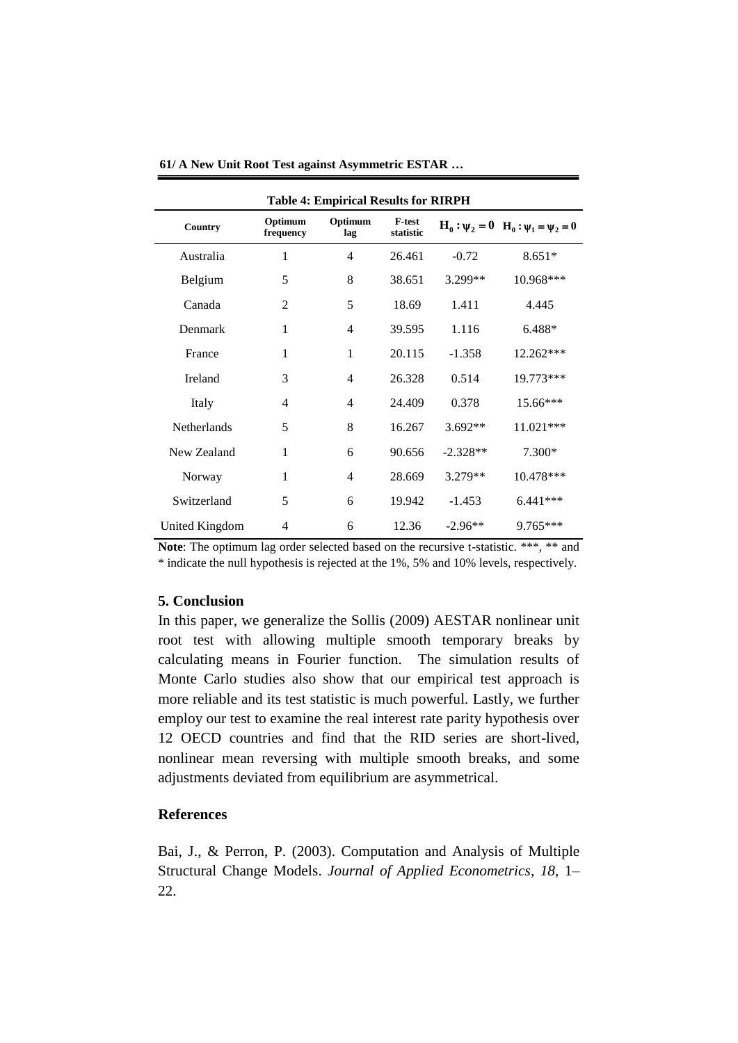| <b>Table 4: Empirical Results for RIRPH</b> |                      |                |                            |            |                                              |  |  |  |  |  |  |
|---------------------------------------------|----------------------|----------------|----------------------------|------------|----------------------------------------------|--|--|--|--|--|--|
| Country                                     | Optimum<br>frequency | Optimum<br>lag | <b>F-test</b><br>statistic |            | $H_0: \psi_2 = 0$ $H_0: \psi_1 = \psi_2 = 0$ |  |  |  |  |  |  |
| Australia                                   | 1                    | 4              | 26.461                     | $-0.72$    | $8.651*$                                     |  |  |  |  |  |  |
| Belgium                                     | 5                    | 8              | 38.651                     | 3.299**    | 10.968***                                    |  |  |  |  |  |  |
| Canada                                      | $\overline{c}$       | 5              | 18.69                      | 1.411      | 4.445                                        |  |  |  |  |  |  |
| Denmark                                     | 1                    | 4              | 39.595                     | 1.116      | 6.488*                                       |  |  |  |  |  |  |
| France                                      | 1                    | 1              | 20.115                     | $-1.358$   | 12.262***                                    |  |  |  |  |  |  |
| Ireland                                     | 3                    | 4              | 26.328                     | 0.514      | 19.773***                                    |  |  |  |  |  |  |
| Italy                                       | 4                    | 4              | 24.409                     | 0.378      | $15.66***$                                   |  |  |  |  |  |  |
| <b>Netherlands</b>                          | 5                    | 8              | 16.267                     | $3.692**$  | $11.021***$                                  |  |  |  |  |  |  |
| New Zealand                                 | 1                    | 6              | 90.656                     | $-2.328**$ | 7.300*                                       |  |  |  |  |  |  |
| Norway                                      | 1                    | 4              | 28.669                     | 3.279**    | 10.478***                                    |  |  |  |  |  |  |
| Switzerland                                 | 5                    | 6              | 19.942                     | $-1.453$   | $6.441***$                                   |  |  |  |  |  |  |
| United Kingdom                              | 4                    | 6              | 12.36                      | $-2.96**$  | 9.765***                                     |  |  |  |  |  |  |

**61/ A New Unit Root Test against Asymmetric ESTAR …**

Note: The optimum lag order selected based on the recursive t-statistic. \*\*\*, \*\* and \* indicate the null hypothesis is rejected at the 1%, 5% and 10% levels, respectively.

### **5. Conclusion**

In this paper, we generalize the Sollis (2009) AESTAR nonlinear unit root test with allowing multiple smooth temporary breaks by calculating means in Fourier function. The simulation results of Monte Carlo studies also show that our empirical test approach is more reliable and its test statistic is much powerful. Lastly, we further employ our test to examine the real interest rate parity hypothesis over 12 OECD countries and find that the RID series are short-lived, nonlinear mean reversing with multiple smooth breaks, and some adjustments deviated from equilibrium are asymmetrical.

### **References**

Bai, J., & Perron, P. (2003). Computation and Analysis of Multiple Structural Change Models. *Journal of Applied Econometrics, 18*, 1– 22.